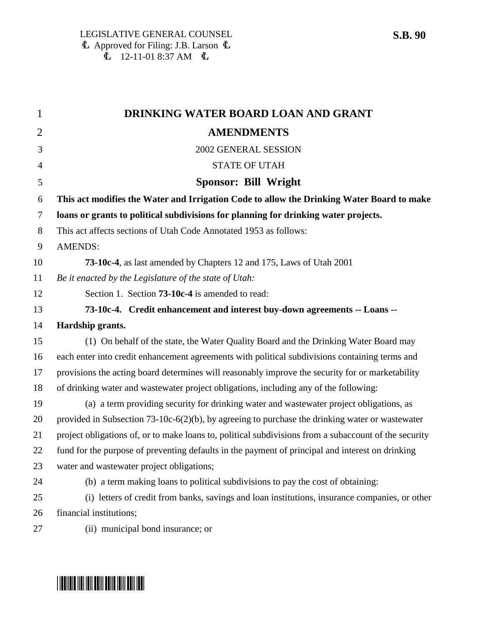| $\mathbf 1$    | DRINKING WATER BOARD LOAN AND GRANT                                                                   |
|----------------|-------------------------------------------------------------------------------------------------------|
| $\overline{2}$ | <b>AMENDMENTS</b>                                                                                     |
| 3              | 2002 GENERAL SESSION                                                                                  |
| $\overline{4}$ | <b>STATE OF UTAH</b>                                                                                  |
| 5              | Sponsor: Bill Wright                                                                                  |
| 6              | This act modifies the Water and Irrigation Code to allow the Drinking Water Board to make             |
| 7              | loans or grants to political subdivisions for planning for drinking water projects.                   |
| 8              | This act affects sections of Utah Code Annotated 1953 as follows:                                     |
| 9              | <b>AMENDS:</b>                                                                                        |
| 10             | <b>73-10c-4</b> , as last amended by Chapters 12 and 175, Laws of Utah 2001                           |
| 11             | Be it enacted by the Legislature of the state of Utah:                                                |
| 12             | Section 1. Section <b>73-10c-4</b> is amended to read:                                                |
| 13             | 73-10c-4. Credit enhancement and interest buy-down agreements -- Loans --                             |
| 14             | Hardship grants.                                                                                      |
| 15             | (1) On behalf of the state, the Water Quality Board and the Drinking Water Board may                  |
| 16             | each enter into credit enhancement agreements with political subdivisions containing terms and        |
| 17             | provisions the acting board determines will reasonably improve the security for or marketability      |
| 18             | of drinking water and wastewater project obligations, including any of the following:                 |
| 19             | (a) a term providing security for drinking water and wastewater project obligations, as               |
| 20             | provided in Subsection $73-10c-6(2)(b)$ , by agreeing to purchase the drinking water or wastewater    |
| 21             | project obligations of, or to make loans to, political subdivisions from a subaccount of the security |
| 22             | fund for the purpose of preventing defaults in the payment of principal and interest on drinking      |
| 23             | water and wastewater project obligations;                                                             |
| 24             | (b) a term making loans to political subdivisions to pay the cost of obtaining:                       |
| 25             | (i) letters of credit from banks, savings and loan institutions, insurance companies, or other        |
| 26             | financial institutions;                                                                               |
| 27             | (ii) municipal bond insurance; or                                                                     |

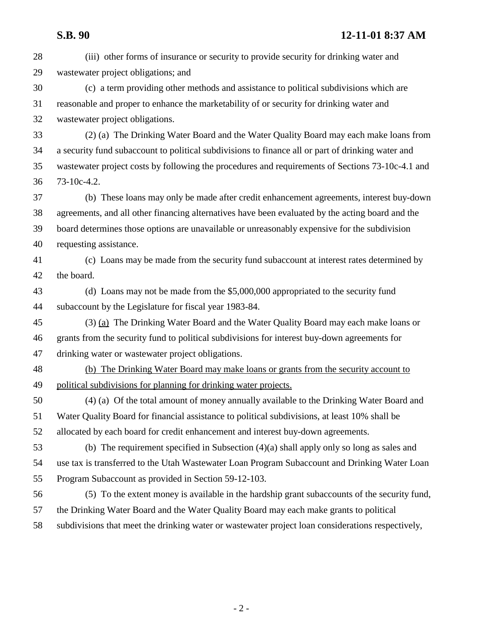## **S.B. 90 12-11-01 8:37 AM**

| 28 | (iii) other forms of insurance or security to provide security for drinking water and             |
|----|---------------------------------------------------------------------------------------------------|
| 29 | wastewater project obligations; and                                                               |
| 30 | (c) a term providing other methods and assistance to political subdivisions which are             |
| 31 | reasonable and proper to enhance the marketability of or security for drinking water and          |
| 32 | wastewater project obligations.                                                                   |
| 33 | (2) (a) The Drinking Water Board and the Water Quality Board may each make loans from             |
| 34 | a security fund subaccount to political subdivisions to finance all or part of drinking water and |
| 35 | wastewater project costs by following the procedures and requirements of Sections 73-10c-4.1 and  |
| 36 | 73-10c-4.2.                                                                                       |
| 37 | (b) These loans may only be made after credit enhancement agreements, interest buy-down           |
| 38 | agreements, and all other financing alternatives have been evaluated by the acting board and the  |
| 39 | board determines those options are unavailable or unreasonably expensive for the subdivision      |
| 40 | requesting assistance.                                                                            |
| 41 | (c) Loans may be made from the security fund subaccount at interest rates determined by           |
| 42 | the board.                                                                                        |
| 43 | (d) Loans may not be made from the \$5,000,000 appropriated to the security fund                  |
| 44 | subaccount by the Legislature for fiscal year 1983-84.                                            |
| 45 | (3) (a) The Drinking Water Board and the Water Quality Board may each make loans or               |
| 46 | grants from the security fund to political subdivisions for interest buy-down agreements for      |
| 47 | drinking water or wastewater project obligations.                                                 |
| 48 | (b) The Drinking Water Board may make loans or grants from the security account to                |
| 49 | political subdivisions for planning for drinking water projects.                                  |
| 50 | (4) (a) Of the total amount of money annually available to the Drinking Water Board and           |
| 51 | Water Quality Board for financial assistance to political subdivisions, at least 10% shall be     |
| 52 | allocated by each board for credit enhancement and interest buy-down agreements.                  |
| 53 | (b) The requirement specified in Subsection $(4)(a)$ shall apply only so long as sales and        |
| 54 | use tax is transferred to the Utah Wastewater Loan Program Subaccount and Drinking Water Loan     |
| 55 | Program Subaccount as provided in Section 59-12-103.                                              |
| 56 | (5) To the extent money is available in the hardship grant subaccounts of the security fund,      |
| 57 | the Drinking Water Board and the Water Quality Board may each make grants to political            |
| 58 | subdivisions that meet the drinking water or wastewater project loan considerations respectively, |
|    |                                                                                                   |